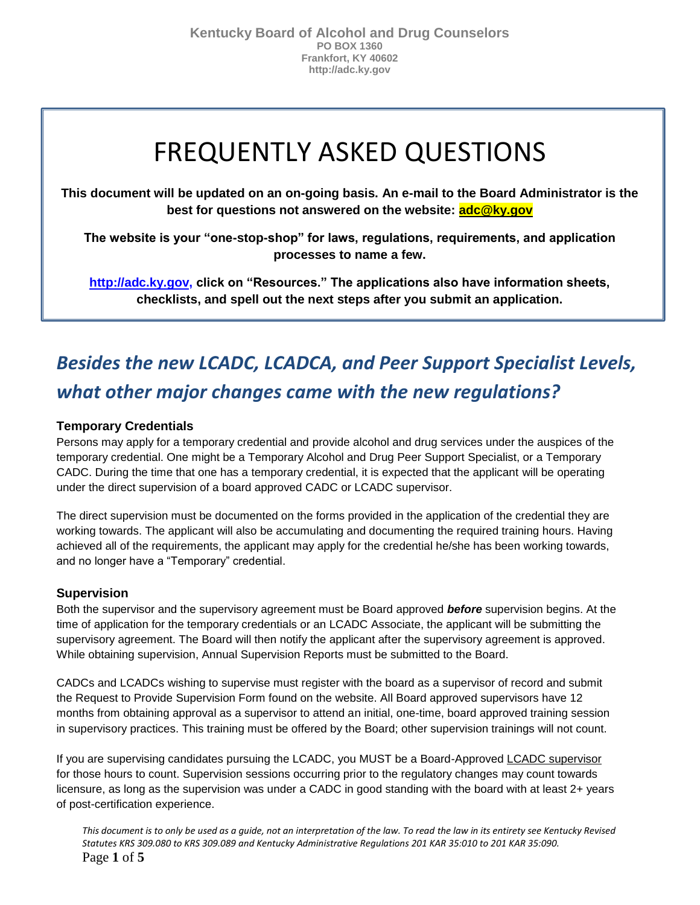# FREQUENTLY ASKED QUESTIONS

**This document will be updated on an on-going basis. An e-mail to the Board Administrator is the best for questions not answered on the website: adc@ky.gov**

**The website is your "one-stop-shop" for laws, regulations, requirements, and application processes to name a few.** 

**[http://adc.ky.gov,](http://adc.ky.gov/) click on "Resources." The applications also have information sheets, checklists, and spell out the next steps after you submit an application.**

# *Besides the new LCADC, LCADCA, and Peer Support Specialist Levels, what other major changes came with the new regulations?*

### **Temporary Credentials**

Persons may apply for a temporary credential and provide alcohol and drug services under the auspices of the temporary credential. One might be a Temporary Alcohol and Drug Peer Support Specialist, or a Temporary CADC. During the time that one has a temporary credential, it is expected that the applicant will be operating under the direct supervision of a board approved CADC or LCADC supervisor.

The direct supervision must be documented on the forms provided in the application of the credential they are working towards. The applicant will also be accumulating and documenting the required training hours. Having achieved all of the requirements, the applicant may apply for the credential he/she has been working towards, and no longer have a "Temporary" credential.

### **Supervision**

Both the supervisor and the supervisory agreement must be Board approved *before* supervision begins. At the time of application for the temporary credentials or an LCADC Associate, the applicant will be submitting the supervisory agreement. The Board will then notify the applicant after the supervisory agreement is approved. While obtaining supervision, Annual Supervision Reports must be submitted to the Board.

CADCs and LCADCs wishing to supervise must register with the board as a supervisor of record and submit the Request to Provide Supervision Form found on the website. All Board approved supervisors have 12 months from obtaining approval as a supervisor to attend an initial, one-time, board approved training session in supervisory practices. This training must be offered by the Board; other supervision trainings will not count.

If you are supervising candidates pursuing the LCADC, you MUST be a Board-Approved LCADC supervisor for those hours to count. Supervision sessions occurring prior to the regulatory changes may count towards licensure, as long as the supervision was under a CADC in good standing with the board with at least 2+ years of post-certification experience.

*This document is to only be used as a guide, not an interpretation of the law. To read the law in its entirety see Kentucky Revised Statutes KRS 309.080 to KRS 309.089 and Kentucky Administrative Regulations 201 KAR 35:010 to 201 KAR 35:090.*  Page **1** of **5**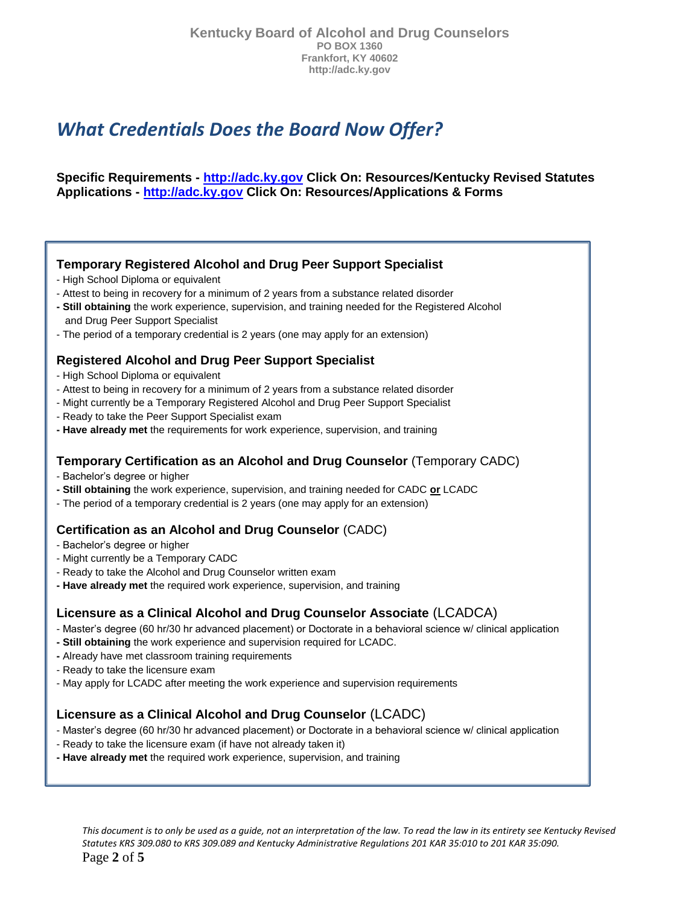### *What Credentials Does the Board Now Offer?*

#### **Specific Requirements - [http://adc.ky.gov](http://adc.ky.gov/) Click On: Resources/Kentucky Revised Statutes Applications - [http://adc.ky.gov](http://adc.ky.gov/) Click On: Resources/Applications & Forms**

#### **Temporary Registered Alcohol and Drug Peer Support Specialist**

- High School Diploma or equivalent
- Attest to being in recovery for a minimum of 2 years from a substance related disorder
- **- Still obtaining** the work experience, supervision, and training needed for the Registered Alcohol and Drug Peer Support Specialist
- The period of a temporary credential is 2 years (one may apply for an extension)

### **Registered Alcohol and Drug Peer Support Specialist**

- High School Diploma or equivalent
- Attest to being in recovery for a minimum of 2 years from a substance related disorder
- Might currently be a Temporary Registered Alcohol and Drug Peer Support Specialist
- Ready to take the Peer Support Specialist exam
- **- Have already met** the requirements for work experience, supervision, and training

### **Temporary Certification as an Alcohol and Drug Counselor** (Temporary CADC)

- Bachelor's degree or higher
- **- Still obtaining** the work experience, supervision, and training needed for CADC **or** LCADC
- The period of a temporary credential is 2 years (one may apply for an extension)

#### **Certification as an Alcohol and Drug Counselor** (CADC)

- Bachelor's degree or higher
- Might currently be a Temporary CADC
- Ready to take the Alcohol and Drug Counselor written exam
- **- Have already met** the required work experience, supervision, and training

### **Licensure as a Clinical Alcohol and Drug Counselor Associate** (LCADCA)

- Master's degree (60 hr/30 hr advanced placement) or Doctorate in a behavioral science w/ clinical application
- **- Still obtaining** the work experience and supervision required for LCADC.
- **-** Already have met classroom training requirements
- Ready to take the licensure exam
- May apply for LCADC after meeting the work experience and supervision requirements

### **Licensure as a Clinical Alcohol and Drug Counselor** (LCADC)

- Master's degree (60 hr/30 hr advanced placement) or Doctorate in a behavioral science w/ clinical application
- Ready to take the licensure exam (if have not already taken it)
- **- Have already met** the required work experience, supervision, and training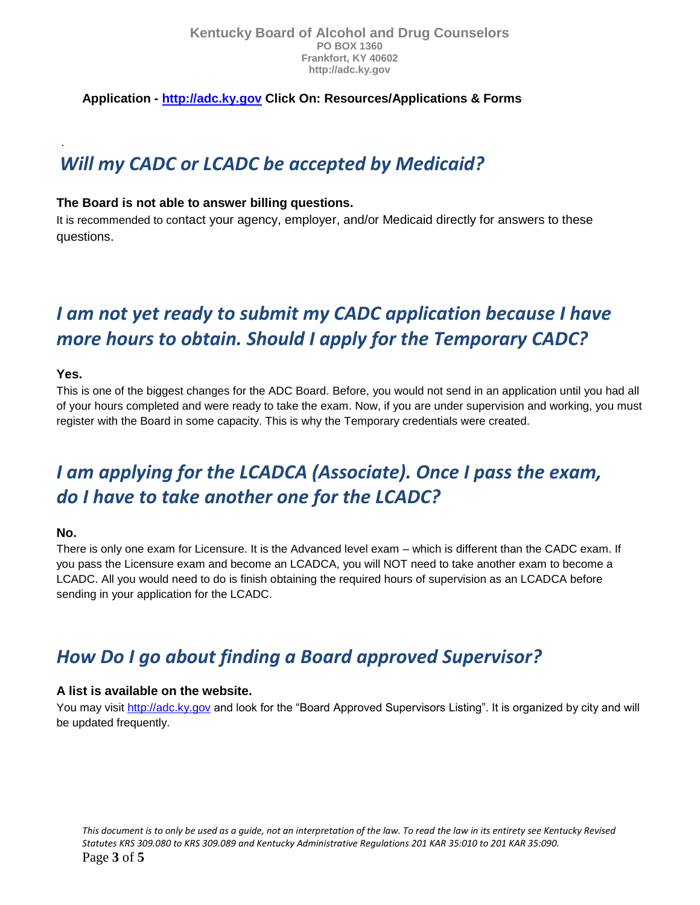**Application - [http://adc.ky.gov](http://adc.ky.gov/) Click On: Resources/Applications & Forms**

### *Will my CADC or LCADC be accepted by Medicaid?*

### **The Board is not able to answer billing questions.**

It is recommended to contact your agency, employer, and/or Medicaid directly for answers to these questions.

### *I am not yet ready to submit my CADC application because I have more hours to obtain. Should I apply for the Temporary CADC?*

### **Yes.**

.

This is one of the biggest changes for the ADC Board. Before, you would not send in an application until you had all of your hours completed and were ready to take the exam. Now, if you are under supervision and working, you must register with the Board in some capacity. This is why the Temporary credentials were created.

## *I am applying for the LCADCA (Associate). Once I pass the exam, do I have to take another one for the LCADC?*

### **No.**

There is only one exam for Licensure. It is the Advanced level exam – which is different than the CADC exam. If you pass the Licensure exam and become an LCADCA, you will NOT need to take another exam to become a LCADC. All you would need to do is finish obtaining the required hours of supervision as an LCADCA before sending in your application for the LCADC.

### *How Do I go about finding a Board approved Supervisor?*

### **A list is available on the website.**

You may visit [http://adc.ky.gov](http://adc.ky.gov/) and look for the "Board Approved Supervisors Listing". It is organized by city and will be updated frequently.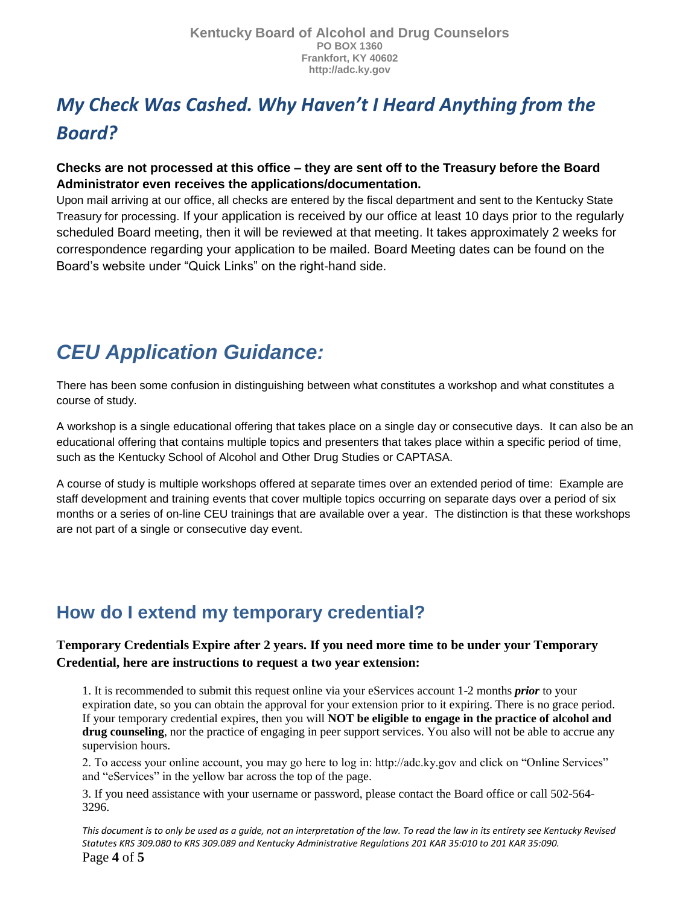# *My Check Was Cashed. Why Haven't I Heard Anything from the Board?*

### **Checks are not processed at this office – they are sent off to the Treasury before the Board Administrator even receives the applications/documentation.**

Upon mail arriving at our office, all checks are entered by the fiscal department and sent to the Kentucky State Treasury for processing. If your application is received by our office at least 10 days prior to the regularly scheduled Board meeting, then it will be reviewed at that meeting. It takes approximately 2 weeks for correspondence regarding your application to be mailed. Board Meeting dates can be found on the Board's website under "Quick Links" on the right-hand side.

# *CEU Application Guidance:*

There has been some confusion in distinguishing between what constitutes a workshop and what constitutes a course of study.

A workshop is a single educational offering that takes place on a single day or consecutive days. It can also be an educational offering that contains multiple topics and presenters that takes place within a specific period of time, such as the Kentucky School of Alcohol and Other Drug Studies or CAPTASA.

A course of study is multiple workshops offered at separate times over an extended period of time: Example are staff development and training events that cover multiple topics occurring on separate days over a period of six months or a series of on-line CEU trainings that are available over a year. The distinction is that these workshops are not part of a single or consecutive day event.

### **How do I extend my temporary credential?**

### **Temporary Credentials Expire after 2 years. If you need more time to be under your Temporary Credential, here are instructions to request a two year extension:**

1. It is recommended to submit this request online via your eServices account 1-2 months *prior* to your expiration date, so you can obtain the approval for your extension prior to it expiring. There is no grace period. If your temporary credential expires, then you will **NOT be eligible to engage in the practice of alcohol and drug counseling**, nor the practice of engaging in peer support services. You also will not be able to accrue any supervision hours.

2. To access your online account, you may go here to log in: http://adc.ky.gov and click on "Online Services" and "eServices" in the yellow bar across the top of the page.

3. If you need assistance with your username or password, please contact the Board office or call 502-564- 3296.

*This document is to only be used as a guide, not an interpretation of the law. To read the law in its entirety see Kentucky Revised Statutes KRS 309.080 to KRS 309.089 and Kentucky Administrative Regulations 201 KAR 35:010 to 201 KAR 35:090.*  Page **4** of **5**